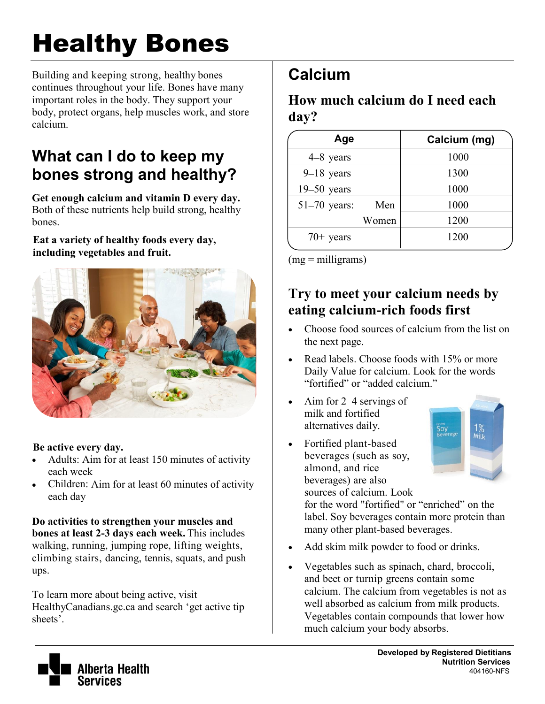# Healthy Bones

Building and keeping strong, healthy bones continues throughout your life. Bones have many important roles in the body. They support your body, protect organs, help muscles work, and store calcium.

## **What can I do to keep my bones strong and healthy?**

**Get enough calcium and vitamin D every day.** Both of these nutrients help build strong, healthy bones.

**Eat a variety of healthy foods every day, including vegetables and fruit.** 



#### **Be active every day.**

- Adults: Aim for at least 150 minutes of activity each week
- Children: Aim for at least 60 minutes of activity each day

**Do activities to strengthen your muscles and bones at least 2-3 days each week.** This includes walking, running, jumping rope, lifting weights, climbing stairs, dancing, tennis, squats, and push ups.

To learn more about being active, visit HealthyCanadians.gc.ca and search 'get active tip sheets'.

# **Calcium**

**How much calcium do I need each day?** 

| Age             |       | Calcium (mg) |
|-----------------|-------|--------------|
| 4–8 years       |       | 1000         |
| $9-18$ years    |       | 1300         |
| $19 - 50$ years |       | 1000         |
| $51-70$ years:  | Men   | 1000         |
|                 | Women | 1200         |
| $70+$ years     |       | 1200         |

 $(mg = milligrams)$ 

### **Try to meet your calcium needs by eating calcium-rich foods first**

- Choose food sources of calcium from the list on the next page.
- Read labels. Choose foods with 15% or more Daily Value for calcium. Look for the words "fortified" or "added calcium."
- Aim for 2–4 servings of milk and fortified alternatives daily.
- Fortified plant-based beverages (such as soy, almond, and rice beverages) are also sources of calcium. Look



for the word "fortified" or "enriched" on the label. Soy beverages contain more protein than many other plant-based beverages.

- Add skim milk powder to food or drinks.
- Vegetables such as spinach, chard, broccoli, and beet or turnip greens contain some calcium. The calcium from vegetables is not as well absorbed as calcium from milk products. Vegetables contain compounds that lower how much calcium your body absorbs.

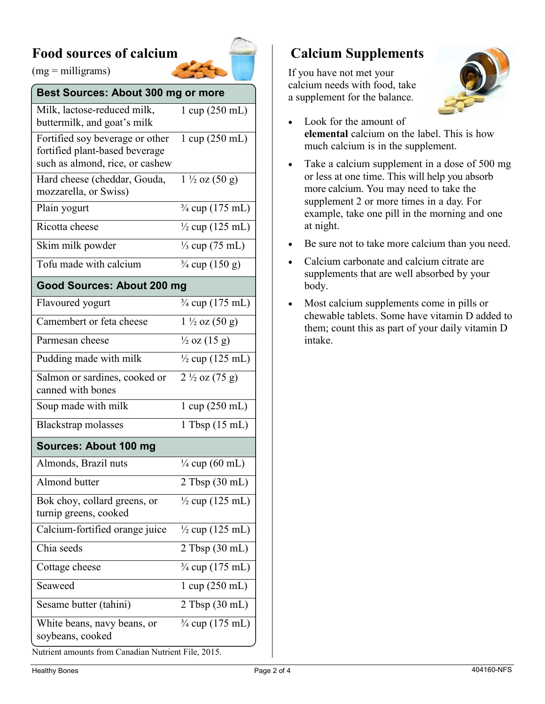#### **Food sources of calcium**



 $(mg =$  milligrams)

#### **Best Sources: About 300 mg or more**

| Milk, lactose-reduced milk,<br>buttermilk, and goat's milk                                           | 1 cup (250 mL)                     |  |  |  |
|------------------------------------------------------------------------------------------------------|------------------------------------|--|--|--|
| Fortified soy beverage or other<br>fortified plant-based beverage<br>such as almond, rice, or cashew | $1 \text{ cup} (250 \text{ mL})$   |  |  |  |
| Hard cheese (cheddar, Gouda,<br>mozzarella, or Swiss)                                                | $1\frac{1}{2}$ oz $(50 \text{ g})$ |  |  |  |
| Plain yogurt                                                                                         | $\frac{3}{4}$ cup (175 mL)         |  |  |  |
| Ricotta cheese                                                                                       | $\frac{1}{2}$ cup (125 mL)         |  |  |  |
| Skim milk powder                                                                                     | $\frac{1}{3}$ cup (75 mL)          |  |  |  |
| Tofu made with calcium                                                                               | $\frac{3}{4}$ cup (150 g)          |  |  |  |
| Good Sources: About 200 mg                                                                           |                                    |  |  |  |
| Flavoured yogurt                                                                                     | $\frac{3}{4}$ cup (175 mL)         |  |  |  |
| Camembert or feta cheese                                                                             | $1\frac{1}{2}$ oz $(50 g)$         |  |  |  |
| Parmesan cheese                                                                                      | $\frac{1}{2}$ oz (15 g)            |  |  |  |
| Pudding made with milk                                                                               | $\frac{1}{2}$ cup (125 mL)         |  |  |  |
| Salmon or sardines, cooked or<br>canned with bones                                                   | $2\frac{1}{2}$ oz (75 g)           |  |  |  |
| Soup made with milk                                                                                  | 1 cup (250 mL)                     |  |  |  |
| Blackstrap molasses                                                                                  | $1$ Tbsp $(15 \text{ mL})$         |  |  |  |
| Sources: About 100 mg                                                                                |                                    |  |  |  |
| Almonds, Brazil nuts                                                                                 | $\frac{1}{4}$ cup (60 mL)          |  |  |  |
| Almond butter                                                                                        | $2$ Tbsp $(30 \text{ mL})$         |  |  |  |
| Bok choy, collard greens, or<br>turnip greens, cooked                                                | $\frac{1}{2}$ cup (125 mL)         |  |  |  |
| Calcium-fortified orange juice                                                                       | $\frac{1}{2}$ cup (125 mL)         |  |  |  |
| Chia seeds                                                                                           | $2$ Tbsp (30 mL)                   |  |  |  |
| Cottage cheese                                                                                       | 3/4 cup (175 mL)                   |  |  |  |
| Seaweed                                                                                              | $1 \text{ cup} (250 \text{ mL})$   |  |  |  |
| Sesame butter (tahini)                                                                               | $2$ Tbsp $(30 \text{ mL})$         |  |  |  |
| White beans, navy beans, or<br>soybeans, cooked                                                      | $\frac{3}{4}$ cup (175 mL)         |  |  |  |

#### **Calcium Supplements**

If you have not met your calcium needs with food, take a supplement for the balance.



- Look for the amount of **elemental** calcium on the label. This is how much calcium is in the supplement.
- Take a calcium supplement in a dose of 500 mg or less at one time. This will help you absorb more calcium. You may need to take the supplement 2 or more times in a day. For example, take one pill in the morning and one at night.
- Be sure not to take more calcium than you need.
- Calcium carbonate and calcium citrate are supplements that are well absorbed by your body.
- Most calcium supplements come in pills or chewable tablets. Some have vitamin D added to them; count this as part of your daily vitamin D intake.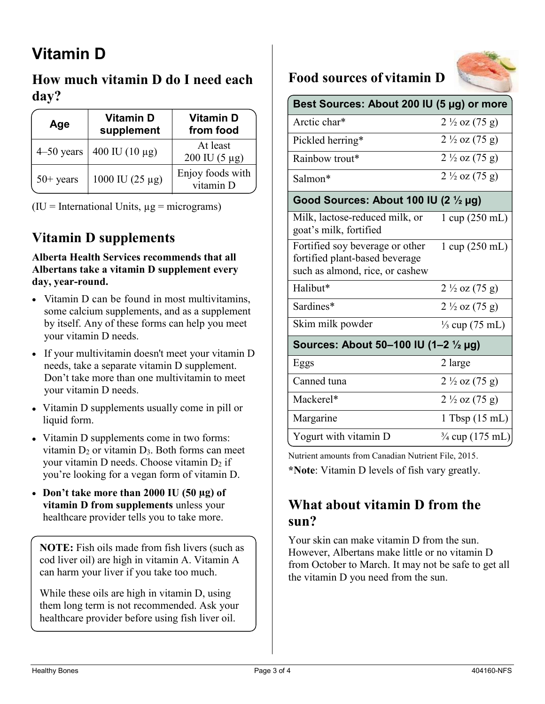# **Vitamin D**

### **How much vitamin D do I need each day?**

| Age            | <b>Vitamin D</b><br>supplement | <b>Vitamin D</b><br>from food               |
|----------------|--------------------------------|---------------------------------------------|
| $4 - 50$ years | 400 IU (10 μg)                 | At least<br>$200 \text{ IU} (5 \text{ µg})$ |
| $50+$ years    | 1000 IU (25 $\mu$ g)           | Enjoy foods with<br>vitamin D               |

 $(IU)$  = International Units,  $\mu$ g = micrograms)

## **Vitamin D supplements**

#### **Alberta Health Services recommends that all Albertans take a vitamin D supplement every day, year-round.**

- Vitamin D can be found in most multivitamins. some calcium supplements, and as a supplement by itself. Any of these forms can help you meet your vitamin D needs.
- If your multivitamin doesn't meet your vitamin D needs, take a separate vitamin D supplement. Don't take more than one multivitamin to meet your vitamin D needs.
- Vitamin D supplements usually come in pill or liquid form.
- Vitamin D supplements come in two forms: vitamin  $D_2$  or vitamin  $D_3$ . Both forms can meet your vitamin D needs. Choose vitamin  $D_2$  if you're looking for a vegan form of vitamin D.
- **Don't take more than 2000 IU (50 µg) of vitamin D from supplements** unless your healthcare provider tells you to take more.

**NOTE:** Fish oils made from fish livers (such as cod liver oil) are high in vitamin A. Vitamin A can harm your liver if you take too much.

While these oils are high in vitamin D, using them long term is not recommended. Ask your healthcare provider before using fish liver oil.

## **Food sources of vitamin D**



| Best Sources: About 200 IU (5 µg) or more                                                            |                                  |  |  |  |
|------------------------------------------------------------------------------------------------------|----------------------------------|--|--|--|
| Arctic char*                                                                                         | $2\frac{1}{2}$ oz (75 g)         |  |  |  |
| Pickled herring*                                                                                     | $2\frac{1}{2}$ oz (75 g)         |  |  |  |
| Rainbow trout*                                                                                       | $2\frac{1}{2}$ oz (75 g)         |  |  |  |
| Salmon*                                                                                              | $2\frac{1}{2}$ oz (75 g)         |  |  |  |
| Good Sources: About 100 IU (2 $\frac{1}{2}$ µg)                                                      |                                  |  |  |  |
| Milk, lactose-reduced milk, or<br>goat's milk, fortified                                             | $1 \text{ cup} (250 \text{ mL})$ |  |  |  |
| Fortified soy beverage or other<br>fortified plant-based beverage<br>such as almond, rice, or cashew | $1 \text{ cup} (250 \text{ mL})$ |  |  |  |
| Halibut*                                                                                             | $2\frac{1}{2}$ oz (75 g)         |  |  |  |
| Sardines*                                                                                            | $2\frac{1}{2}$ oz (75 g)         |  |  |  |
| Skim milk powder                                                                                     | $\frac{1}{3}$ cup (75 mL)        |  |  |  |
| Sources: About 50–100 IU (1–2 1/2 μg)                                                                |                                  |  |  |  |
| Eggs                                                                                                 | 2 large                          |  |  |  |
| Canned tuna                                                                                          | $2\frac{1}{2}$ oz (75 g)         |  |  |  |
| Mackerel*                                                                                            | $2\frac{1}{2}$ oz (75 g)         |  |  |  |
| Margarine                                                                                            | $1$ Tbsp $(15 \text{ mL})$       |  |  |  |
| Yogurt with vitamin D                                                                                | 3/4 cup (175 mL)                 |  |  |  |

Nutrient amounts from Canadian Nutrient File, 2015.

**\*Note**: Vitamin D levels of fish vary greatly.

#### **What about vitamin D from the sun?**

Your skin can make vitamin D from the sun. However, Albertans make little or no vitamin D from October to March. It may not be safe to get all the vitamin D you need from the sun.